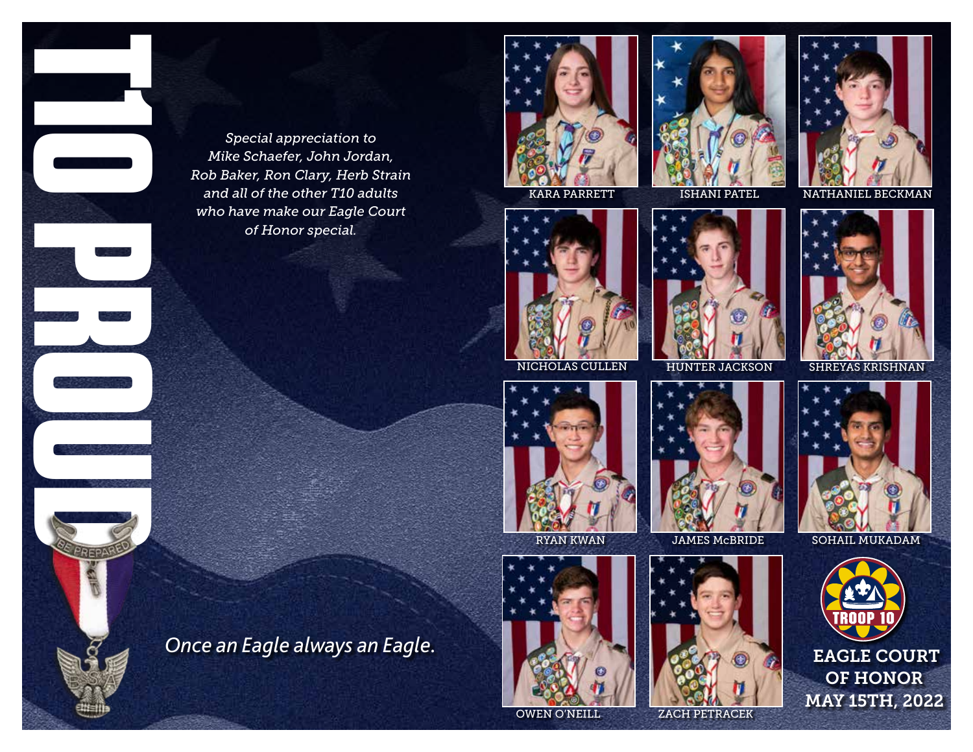*Once an Eagle always an Eagle.* **T10 PROUD**

*Special appreciation to Mike Schaefer, John Jordan, Rob Baker, Ron Clary, Herb Strain and all of the other T10 adults who have make our Eagle Court of Honor special.*







KARA PARRETT ISHANI PATEL NATHANIEL BECKMAN



NICHOLAS CULLEN HUNTER JACKSON SHREYAS KRISHNAN



SOHAIL MUKADAM



OWEN O'NEILL

ZACH PETRACEK









JAMES McBRIDE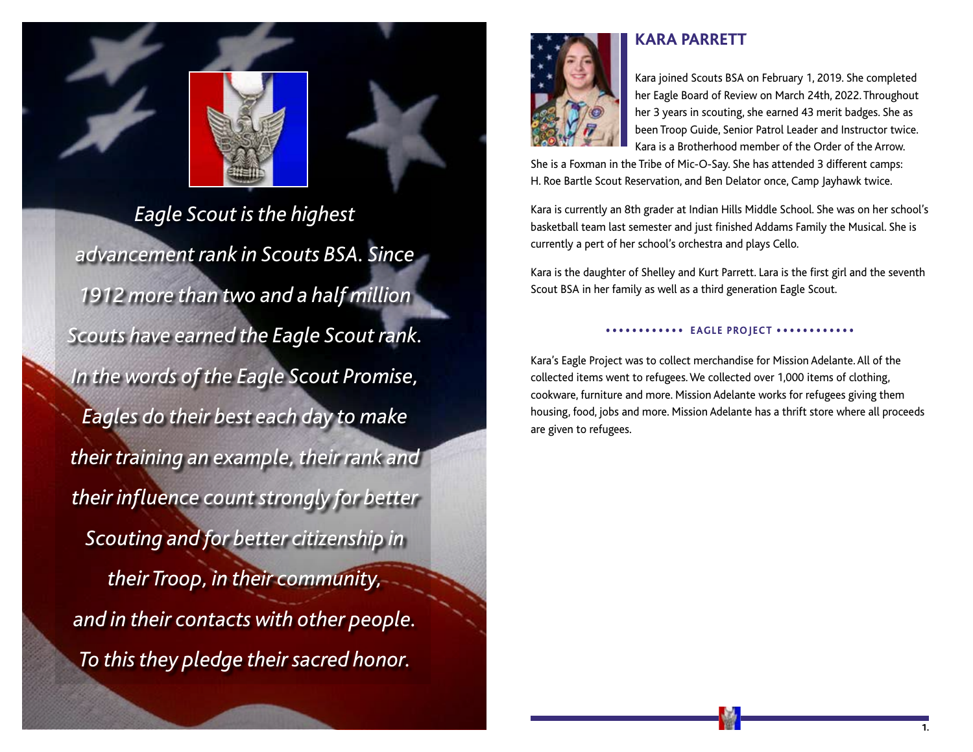



*Eagle Scout is the highest advancement rank in Scouts BSA. Since 1912 more than two and a half million Scouts have earned the Eagle Scout rank. In the words of the Eagle Scout Promise, Eagles do their best each day to make their training an example, their rank and their influence count strongly for better Scouting and for better citizenship in their Troop, in their community, and in their contacts with other people. To this they pledge their sacred honor.*

## **KARA PARRETT**



Kara joined Scouts BSA on February 1, 2019. She completed her Eagle Board of Review on March 24th, 2022. Throughout her 3 years in scouting, she earned 43 merit badges. She as been Troop Guide, Senior Patrol Leader and Instructor twice. Kara is a Brotherhood member of the Order of the Arrow.

She is a Foxman in the Tribe of Mic-O-Say. She has attended 3 different camps: H. Roe Bartle Scout Reservation, and Ben Delator once, Camp Jayhawk twice.

Kara is currently an 8th grader at Indian Hills Middle School. She was on her school's basketball team last semester and just finished Addams Family the Musical. She is currently a pert of her school's orchestra and plays Cello.

Kara is the daughter of Shelley and Kurt Parrett. Lara is the first girl and the seventh Scout BSA in her family as well as a third generation Eagle Scout.

### •••••••••••• **EAGLE PROJECT** ••••••••••••

Kara's Eagle Project was to collect merchandise for Mission Adelante. All of the collected items went to refugees. We collected over 1,000 items of clothing, cookware, furniture and more. Mission Adelante works for refugees giving them housing, food, jobs and more. Mission Adelante has a thrift store where all proceeds are given to refugees.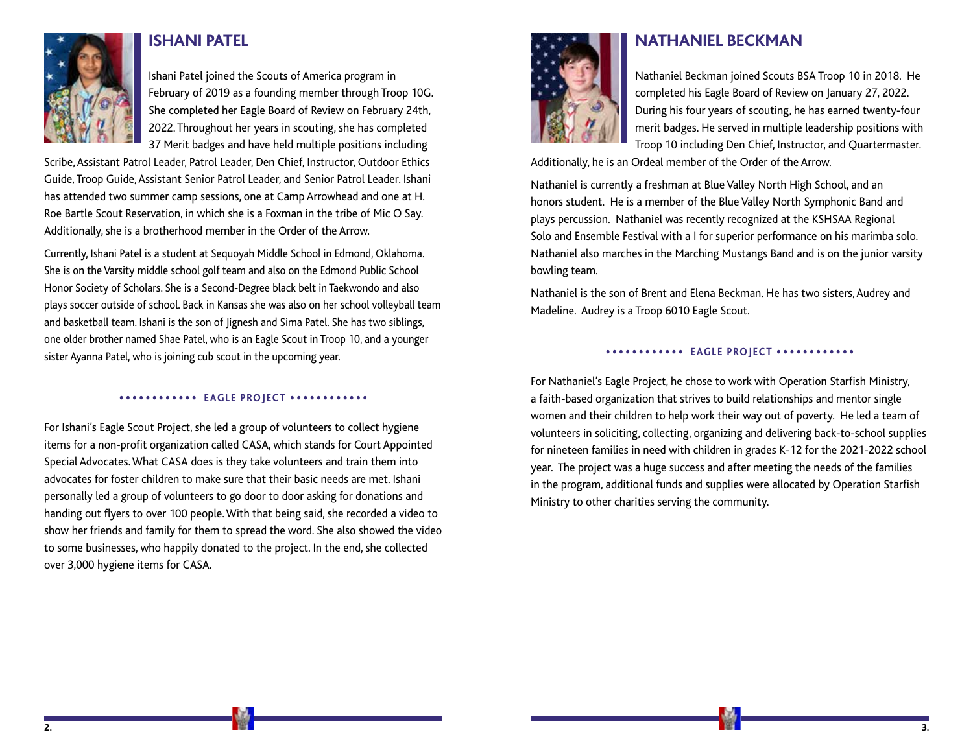

## **ISHANI PATEL**

Ishani Patel joined the Scouts of America program in February of 2019 as a founding member through Troop 10G. She completed her Eagle Board of Review on February 24th, 2022. Throughout her years in scouting, she has completed 37 Merit badges and have held multiple positions including

Scribe, Assistant Patrol Leader, Patrol Leader, Den Chief, Instructor, Outdoor Ethics Guide, Troop Guide, Assistant Senior Patrol Leader, and Senior Patrol Leader. Ishani has attended two summer camp sessions, one at Camp Arrowhead and one at H. Roe Bartle Scout Reservation, in which she is a Foxman in the tribe of Mic O Say. Additionally, she is a brotherhood member in the Order of the Arrow.

Currently, Ishani Patel is a student at Sequoyah Middle School in Edmond, Oklahoma. She is on the Varsity middle school golf team and also on the Edmond Public School Honor Society of Scholars. She is a Second-Degree black belt in Taekwondo and also plays soccer outside of school. Back in Kansas she was also on her school volleyball team and basketball team. Ishani is the son of Jignesh and Sima Patel. She has two siblings, one older brother named Shae Patel, who is an Eagle Scout in Troop 10, and a younger sister Ayanna Patel, who is joining cub scout in the upcoming year.

#### •••••••••••• **EAGLE PROJECT** ••••••••••••

For Ishani's Eagle Scout Project, she led a group of volunteers to collect hygiene items for a non-profit organization called CASA, which stands for Court Appointed Special Advocates. What CASA does is they take volunteers and train them into advocates for foster children to make sure that their basic needs are met. Ishani personally led a group of volunteers to go door to door asking for donations and handing out flyers to over 100 people. With that being said, she recorded a video to show her friends and family for them to spread the word. She also showed the video to some businesses, who happily donated to the project. In the end, she collected over 3,000 hygiene items for CASA.



### **NATHANIEL BECKMAN**

Nathaniel Beckman joined Scouts BSA Troop 10 in 2018. He completed his Eagle Board of Review on January 27, 2022. During his four years of scouting, he has earned twenty-four merit badges. He served in multiple leadership positions with Troop 10 including Den Chief, Instructor, and Quartermaster.

Additionally, he is an Ordeal member of the Order of the Arrow.

Nathaniel is currently a freshman at Blue Valley North High School, and an honors student. He is a member of the Blue Valley North Symphonic Band and plays percussion. Nathaniel was recently recognized at the KSHSAA Regional Solo and Ensemble Festival with a I for superior performance on his marimba solo. Nathaniel also marches in the Marching Mustangs Band and is on the junior varsity bowling team.

Nathaniel is the son of Brent and Elena Beckman. He has two sisters, Audrey and Madeline. Audrey is a Troop 6010 Eagle Scout.

#### •••••••••••• **EAGLE PROJECT** ••••••••••••

For Nathaniel's Eagle Project, he chose to work with Operation Starfish Ministry, a faith-based organization that strives to build relationships and mentor single women and their children to help work their way out of poverty. He led a team of volunteers in soliciting, collecting, organizing and delivering back-to-school supplies for nineteen families in need with children in grades K-12 for the 2021-2022 school year. The project was a huge success and after meeting the needs of the families in the program, additional funds and supplies were allocated by Operation Starfish Ministry to other charities serving the community.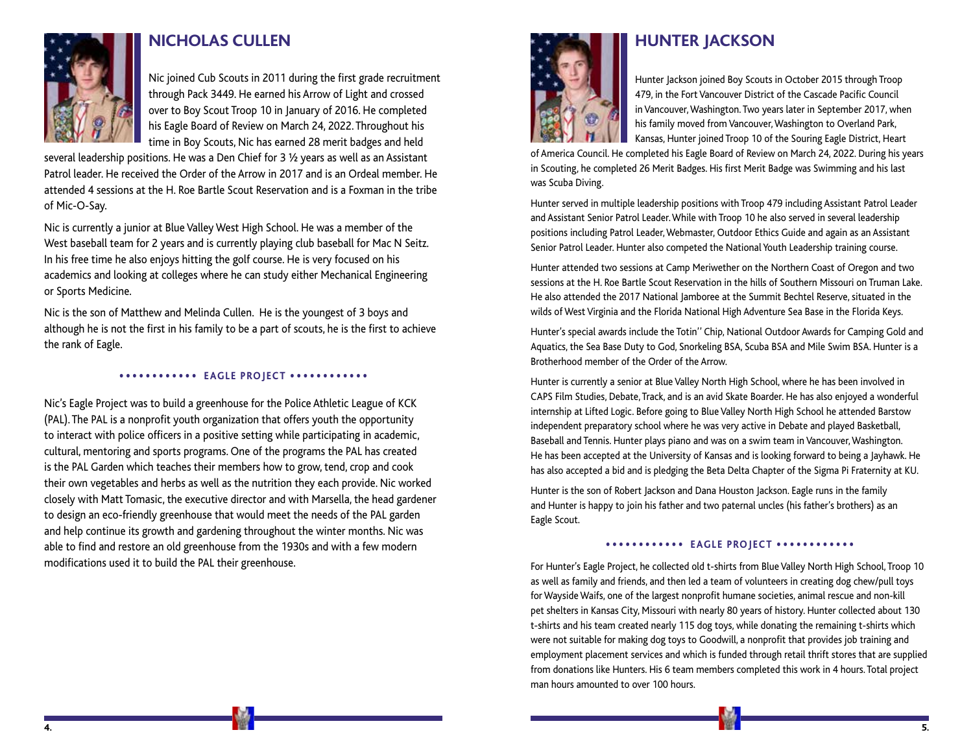

### **NICHOLAS CULLEN**

Nic joined Cub Scouts in 2011 during the first grade recruitment through Pack 3449. He earned his Arrow of Light and crossed over to Boy Scout Troop 10 in January of 2016. He completed his Eagle Board of Review on March 24, 2022. Throughout his time in Boy Scouts, Nic has earned 28 merit badges and held

several leadership positions. He was a Den Chief for 3 ½ years as well as an Assistant Patrol leader. He received the Order of the Arrow in 2017 and is an Ordeal member. He attended 4 sessions at the H. Roe Bartle Scout Reservation and is a Foxman in the tribe of Mic-O-Say.

Nic is currently a junior at Blue Valley West High School. He was a member of the West baseball team for 2 years and is currently playing club baseball for Mac N Seitz. In his free time he also enjoys hitting the golf course. He is very focused on his academics and looking at colleges where he can study either Mechanical Engineering or Sports Medicine.

Nic is the son of Matthew and Melinda Cullen. He is the youngest of 3 boys and although he is not the first in his family to be a part of scouts, he is the first to achieve the rank of Eagle.

### •••••••••••• **EAGLE PROJECT** ••••••••••••

Nic's Eagle Project was to build a greenhouse for the Police Athletic League of KCK (PAL). The PAL is a nonprofit youth organization that offers youth the opportunity to interact with police officers in a positive setting while participating in academic, cultural, mentoring and sports programs. One of the programs the PAL has created is the PAL Garden which teaches their members how to grow, tend, crop and cook their own vegetables and herbs as well as the nutrition they each provide. Nic worked closely with Matt Tomasic, the executive director and with Marsella, the head gardener to design an eco-friendly greenhouse that would meet the needs of the PAL garden and help continue its growth and gardening throughout the winter months. Nic was able to find and restore an old greenhouse from the 1930s and with a few modern modifications used it to build the PAL their greenhouse.



# **HUNTER JACKSON**

Hunter Jackson joined Boy Scouts in October 2015 through Troop 479, in the Fort Vancouver District of the Cascade Pacific Council in Vancouver, Washington. Two years later in September 2017, when his family moved from Vancouver, Washington to Overland Park, Kansas, Hunter joined Troop 10 of the Souring Eagle District, Heart

of America Council. He completed his Eagle Board of Review on March 24, 2022. During his years in Scouting, he completed 26 Merit Badges. His first Merit Badge was Swimming and his last was Scuba Diving.

Hunter served in multiple leadership positions with Troop 479 including Assistant Patrol Leader and Assistant Senior Patrol Leader. While with Troop 10 he also served in several leadership positions including Patrol Leader, Webmaster, Outdoor Ethics Guide and again as an Assistant Senior Patrol Leader. Hunter also competed the National Youth Leadership training course.

Hunter attended two sessions at Camp Meriwether on the Northern Coast of Oregon and two sessions at the H. Roe Bartle Scout Reservation in the hills of Southern Missouri on Truman Lake. He also attended the 2017 National Jamboree at the Summit Bechtel Reserve, situated in the wilds of West Virginia and the Florida National High Adventure Sea Base in the Florida Keys.

Hunter's special awards include the Totin'' Chip, National Outdoor Awards for Camping Gold and Aquatics, the Sea Base Duty to God, Snorkeling BSA, Scuba BSA and Mile Swim BSA. Hunter is a Brotherhood member of the Order of the Arrow.

Hunter is currently a senior at Blue Valley North High School, where he has been involved in CAPS Film Studies, Debate, Track, and is an avid Skate Boarder. He has also enjoyed a wonderful internship at Lifted Logic. Before going to Blue Valley North High School he attended Barstow independent preparatory school where he was very active in Debate and played Basketball, Baseball and Tennis. Hunter plays piano and was on a swim team in Vancouver, Washington. He has been accepted at the University of Kansas and is looking forward to being a Jayhawk. He has also accepted a bid and is pledging the Beta Delta Chapter of the Sigma Pi Fraternity at KU.

Hunter is the son of Robert Jackson and Dana Houston Jackson. Eagle runs in the family and Hunter is happy to join his father and two paternal uncles (his father's brothers) as an Eagle Scout.

#### •••••••••••• **EAGLE PROJECT** ••••••••••••

For Hunter's Eagle Project, he collected old t-shirts from Blue Valley North High School, Troop 10 as well as family and friends, and then led a team of volunteers in creating dog chew/pull toys for Wayside Waifs, one of the largest nonprofit humane societies, animal rescue and non-kill pet shelters in Kansas City, Missouri with nearly 80 years of history. Hunter collected about 130 t-shirts and his team created nearly 115 dog toys, while donating the remaining t-shirts which were not suitable for making dog toys to Goodwill, a nonprofit that provides job training and employment placement services and which is funded through retail thrift stores that are supplied from donations like Hunters. His 6 team members completed this work in 4 hours. Total project man hours amounted to over 100 hours.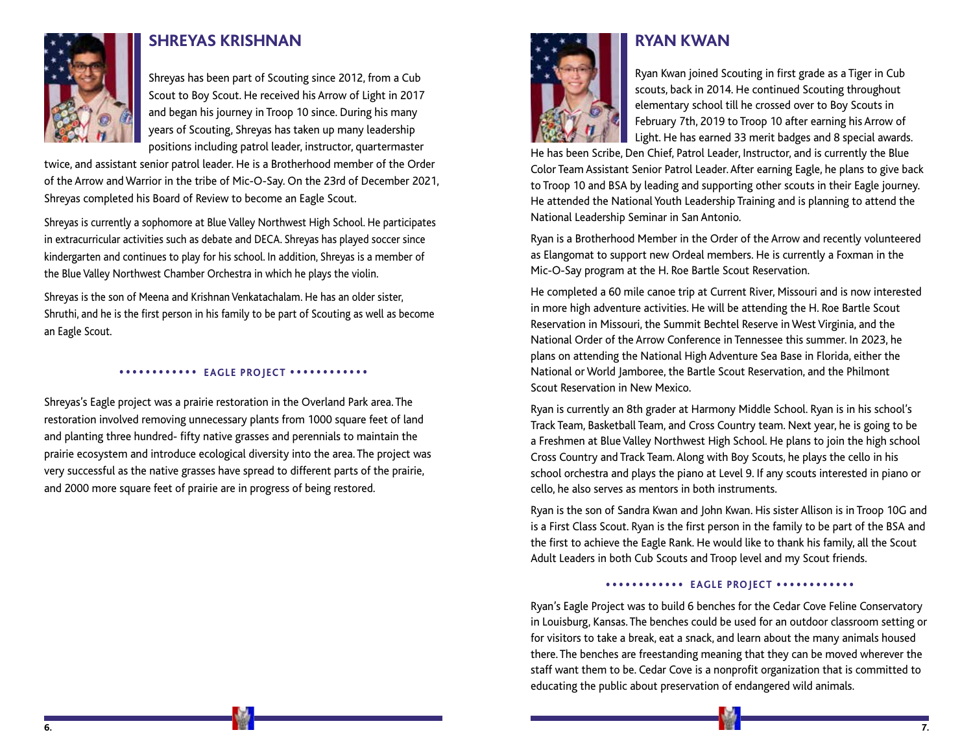

### **SHREYAS KRISHNAN**

Shreyas has been part of Scouting since 2012, from a Cub Scout to Boy Scout. He received his Arrow of Light in 2017 and began his journey in Troop 10 since. During his many years of Scouting, Shreyas has taken up many leadership positions including patrol leader, instructor, quartermaster

twice, and assistant senior patrol leader. He is a Brotherhood member of the Order of the Arrow and Warrior in the tribe of Mic-O-Say. On the 23rd of December 2021, Shreyas completed his Board of Review to become an Eagle Scout.

Shreyas is currently a sophomore at Blue Valley Northwest High School. He participates in extracurricular activities such as debate and DECA. Shreyas has played soccer since kindergarten and continues to play for his school. In addition, Shreyas is a member of the Blue Valley Northwest Chamber Orchestra in which he plays the violin.

Shreyas is the son of Meena and Krishnan Venkatachalam. He has an older sister, Shruthi, and he is the first person in his family to be part of Scouting as well as become an Eagle Scout.

### •••••••••••• **EAGLE PROJECT** ••••••••••••

Shreyas's Eagle project was a prairie restoration in the Overland Park area. The restoration involved removing unnecessary plants from 1000 square feet of land and planting three hundred- fifty native grasses and perennials to maintain the prairie ecosystem and introduce ecological diversity into the area. The project was very successful as the native grasses have spread to different parts of the prairie, and 2000 more square feet of prairie are in progress of being restored.



## **RYAN KWAN**

Ryan Kwan joined Scouting in first grade as a Tiger in Cub scouts, back in 2014. He continued Scouting throughout elementary school till he crossed over to Boy Scouts in February 7th, 2019 to Troop 10 after earning his Arrow of Light. He has earned 33 merit badges and 8 special awards.

He has been Scribe, Den Chief, Patrol Leader, Instructor, and is currently the Blue Color Team Assistant Senior Patrol Leader. After earning Eagle, he plans to give back to Troop 10 and BSA by leading and supporting other scouts in their Eagle journey. He attended the National Youth Leadership Training and is planning to attend the National Leadership Seminar in San Antonio.

Ryan is a Brotherhood Member in the Order of the Arrow and recently volunteered as Elangomat to support new Ordeal members. He is currently a Foxman in the Mic-O-Say program at the H. Roe Bartle Scout Reservation.

He completed a 60 mile canoe trip at Current River, Missouri and is now interested in more high adventure activities. He will be attending the H. Roe Bartle Scout Reservation in Missouri, the Summit Bechtel Reserve in West Virginia, and the National Order of the Arrow Conference in Tennessee this summer. In 2023, he plans on attending the National High Adventure Sea Base in Florida, either the National or World Jamboree, the Bartle Scout Reservation, and the Philmont Scout Reservation in New Mexico.

Ryan is currently an 8th grader at Harmony Middle School. Ryan is in his school's Track Team, Basketball Team, and Cross Country team. Next year, he is going to be a Freshmen at Blue Valley Northwest High School. He plans to join the high school Cross Country and Track Team. Along with Boy Scouts, he plays the cello in his school orchestra and plays the piano at Level 9. If any scouts interested in piano or cello, he also serves as mentors in both instruments.

Ryan is the son of Sandra Kwan and John Kwan. His sister Allison is in Troop 10G and is a First Class Scout. Ryan is the first person in the family to be part of the BSA and the first to achieve the Eagle Rank. He would like to thank his family, all the Scout Adult Leaders in both Cub Scouts and Troop level and my Scout friends.

### •••••••••••• **EAGLE PROJECT** ••••••••••••

Ryan's Eagle Project was to build 6 benches for the Cedar Cove Feline Conservatory in Louisburg, Kansas. The benches could be used for an outdoor classroom setting or for visitors to take a break, eat a snack, and learn about the many animals housed there. The benches are freestanding meaning that they can be moved wherever the staff want them to be. Cedar Cove is a nonprofit organization that is committed to educating the public about preservation of endangered wild animals.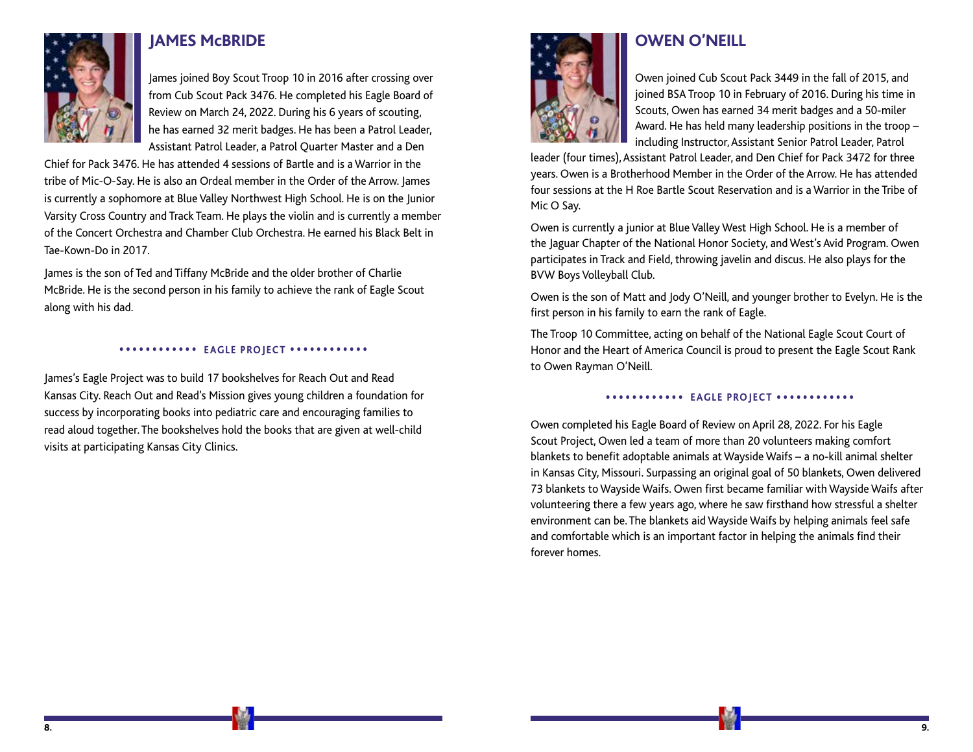

### **JAMES McBRIDE**

 James joined Boy Scout Troop 10 in 2016 after crossing over from Cub Scout Pack 3476. He completed his Eagle Board of Review on March 24, 2022. During his 6 years of scouting, he has earned 32 merit badges. He has been a Patrol Leader, Assistant Patrol Leader, a Patrol Quarter Master and a Den

Chief for Pack 3476. He has attended 4 sessions of Bartle and is a Warrior in the tribe of Mic-O-Say. He is also an Ordeal member in the Order of the Arrow. James is currently a sophomore at Blue Valley Northwest High School. He is on the Junior Varsity Cross Country and Track Team. He plays the violin and is currently a member of the Concert Orchestra and Chamber Club Orchestra. He earned his Black Belt in Tae-Kown-Do in 2017.

James is the son of Ted and Tiffany McBride and the older brother of Charlie McBride. He is the second person in his family to achieve the rank of Eagle Scout along with his dad.

### •••••••••••• **EAGLE PROJECT** ••••••••••••

James's Eagle Project was to build 17 bookshelves for Reach Out and Read Kansas City. Reach Out and Read's Mission gives young children a foundation for success by incorporating books into pediatric care and encouraging families to read aloud together. The bookshelves hold the books that are given at well-child visits at participating Kansas City Clinics.



# **OWEN O'NEILL**

 Owen joined Cub Scout Pack 3449 in the fall of 2015, and joined BSA Troop 10 in February of 2016. During his time in Scouts, Owen has earned 34 merit badges and a 50-miler Award. He has held many leadership positions in the troop – including Instructor, Assistant Senior Patrol Leader, Patrol

leader (four times), Assistant Patrol Leader, and Den Chief for Pack 3472 for three years. Owen is a Brotherhood Member in the Order of the Arrow. He has attended four sessions at the H Roe Bartle Scout Reservation and is a Warrior in the Tribe of Mic O Say.

Owen is currently a junior at Blue Valley West High School. He is a member of the Jaguar Chapter of the National Honor Society, and West's Avid Program. Owen participates in Track and Field, throwing javelin and discus. He also plays for the BVW Boys Volleyball Club.

Owen is the son of Matt and Jody O'Neill, and younger brother to Evelyn. He is the first person in his family to earn the rank of Eagle.

The Troop 10 Committee, acting on behalf of the National Eagle Scout Court of Honor and the Heart of America Council is proud to present the Eagle Scout Rank to Owen Rayman O'Neill.

•••••••••••• **EAGLE PROJECT** ••••••••••••

Owen completed his Eagle Board of Review on April 28, 2022. For his Eagle Scout Project, Owen led a team of more than 20 volunteers making comfort blankets to benefit adoptable animals at Wayside Waifs – a no-kill animal shelter in Kansas City, Missouri. Surpassing an original goal of 50 blankets, Owen delivered 73 blankets to Wayside Waifs. Owen first became familiar with Wayside Waifs after volunteering there a few years ago, where he saw firsthand how stressful a shelter environment can be. The blankets aid Wayside Waifs by helping animals feel safe and comfortable which is an important factor in helping the animals find their forever homes.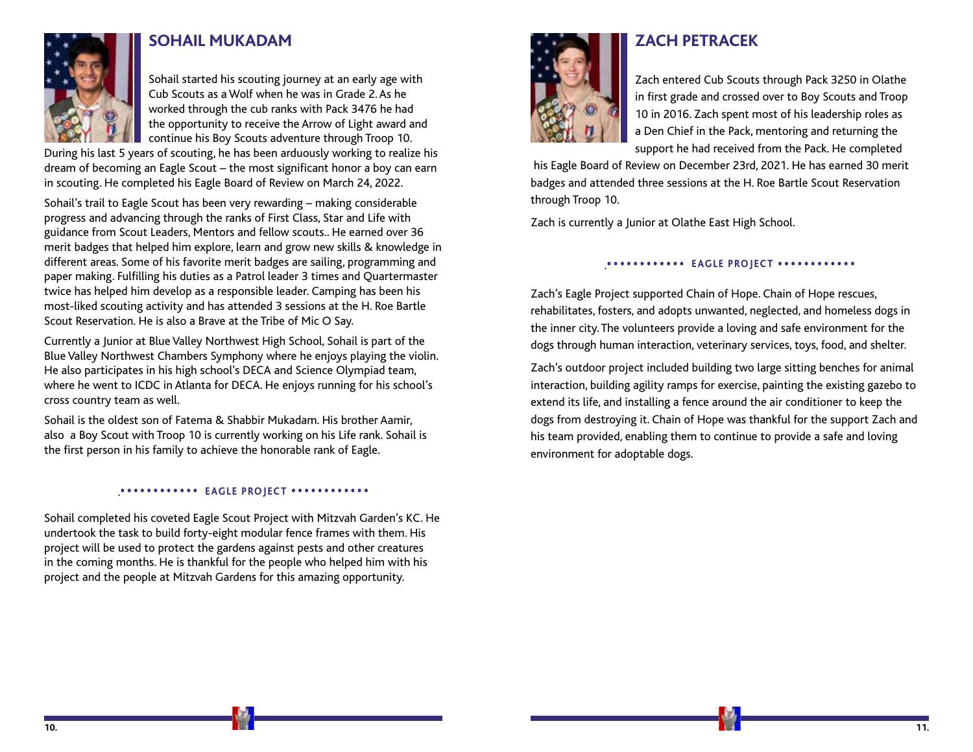

### **SOHAIL MUKADAM**

Sohail started his scouting journey at an early age with Cub Scouts as a Wolf when he was in Grade 2. As he worked through the cub ranks with Pack 3476 he had the opportunity to receive the Arrow of Light award and continue his Boy Scouts adventure through Troop 10.

During his last 5 years of scouting, he has been arduously working to realize his dream of becoming an Eagle Scout – the most significant honor a boy can earn in scouting. He completed his Eagle Board of Review on March 24, 2022.

Sohail's trail to Eagle Scout has been very rewarding – making considerable progress and advancing through the ranks of First Class, Star and Life with guidance from Scout Leaders, Mentors and fellow scouts.. He earned over 36 merit badges that helped him explore, learn and grow new skills & knowledge in different areas. Some of his favorite merit badges are sailing, programming and paper making. Fulfilling his duties as a Patrol leader 3 times and Quartermaster twice has helped him develop as a responsible leader. Camping has been his most-liked scouting activity and has attended 3 sessions at the H. Roe Bartle Scout Reservation. He is also a Brave at the Tribe of Mic O Say.

Currently a Junior at Blue Valley Northwest High School, Sohail is part of the Blue Valley Northwest Chambers Symphony where he enjoys playing the violin. He also participates in his high school's DECA and Science Olympiad team, where he went to ICDC in Atlanta for DECA. He enjoys running for his school's cross country team as well.

Sohail is the oldest son of Fatema & Shabbir Mukadam. His brother Aamir, also a Boy Scout with Troop 10 is currently working on his Life rank. Sohail is the first person in his family to achieve the honorable rank of Eagle.

### .•••••••••••• **EAGLE PROJECT** ••••••••••••

Sohail completed his coveted Eagle Scout Project with Mitzvah Garden's KC. He undertook the task to build forty-eight modular fence frames with them. His project will be used to protect the gardens against pests and other creatures in the coming months. He is thankful for the people who helped him with his project and the people at Mitzvah Gardens for this amazing opportunity.



# **ZACH PETRACEK**

Zach entered Cub Scouts through Pack 3250 in Olathe in first grade and crossed over to Boy Scouts and Troop 10 in 2016. Zach spent most of his leadership roles as a Den Chief in the Pack, mentoring and returning the support he had received from the Pack. He completed

 his Eagle Board of Review on December 23rd, 2021. He has earned 30 merit badges and attended three sessions at the H. Roe Bartle Scout Reservation through Troop 10.

Zach is currently a Junior at Olathe East High School.

.•••••••••••• **EAGLE PROJECT** ••••••••••••

Zach's Eagle Project supported Chain of Hope. Chain of Hope rescues, rehabilitates, fosters, and adopts unwanted, neglected, and homeless dogs in the inner city. The volunteers provide a loving and safe environment for the dogs through human interaction, veterinary services, toys, food, and shelter.

Zach's outdoor project included building two large sitting benches for animal interaction, building agility ramps for exercise, painting the existing gazebo to extend its life, and installing a fence around the air conditioner to keep the dogs from destroying it. Chain of Hope was thankful for the support Zach and his team provided, enabling them to continue to provide a safe and loving environment for adoptable dogs.